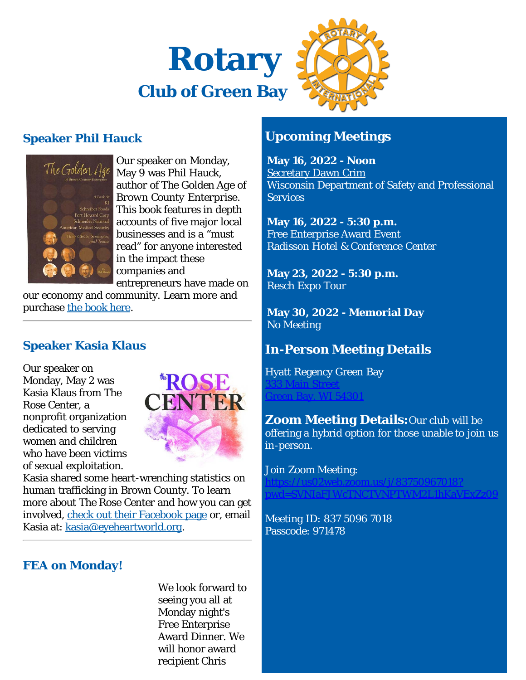



# **Speaker Phil Hauck**



Our speaker on Monday, May 9 was Phil Hauck, author of *The Golden Age of Brown County Enterprise*. This book features in depth accounts of five major local businesses and is a "must read" for anyone interested in the impact these companies and entrepreneurs have made on

our economy and community. Learn more and purchase [the book here.](https://www.goldenagebce.com/)

# **Speaker Kasia Klaus**

Our speaker on Monday, May 2 was Kasia Klaus from The Rose Center, a nonprofit organization dedicated to serving women and children who have been victims of sexual exploitation.



Kasia shared some heart-wrenching statistics on human trafficking in Brown County. To learn more about The Rose Center and how you can get involved, [check out their Facebook page](https://www.facebook.com/rosecentermobile) or, email Kasia at: [kasia@eyeheartworld.org.](mailto:kasia@eyeheartworld.org)

# **FEA on Monday!**

We look forward to seeing you all at Monday night's Free Enterprise Award Dinner. We will honor award recipient Chris

# **Upcoming Meetings**

**May 16, 2022 - Noon** [Secretary Dawn Crim](https://ismyrotaryclub.com/wp_api_prod_1-1/R_Event.cfm?fixTables=0&fixImages=0&EventID=77581230) Wisconsin Department of Safety and Professional **Services** 

**May 16, 2022 - 5:30 p.m.** Free Enterprise Award Event Radisson Hotel & Conference Center

**May 23, 2022 - 5:30 p.m.** Resch Expo Tour

**May 30, 2022 - Memorial Day** No Meeting

# **In-Person Meeting Details**

Hyatt Regency Green Bay

[333 Main Street](http://maps.google.com/maps?q=44.517380000,-88.011300000) [Green Bay, WI 54301](http://maps.google.com/maps?q=44.517380000,-88.011300000)

**Zoom Meeting Details:**Our club will be offering a hybrid option for those unable to join us in-person.

Join Zoom Meeting:

[https://us02web.zoom.us/j/83750967018?](https://us02web.zoom.us/j/83750967018?pwd=SVNIaFJWcTNCTVNPTWM2L1hKaVExZz09)  $\mathbf F$ IW $\mathbf c$ TNCTVNPTWM

Meeting ID: 837 5096 7018 Passcode: 971478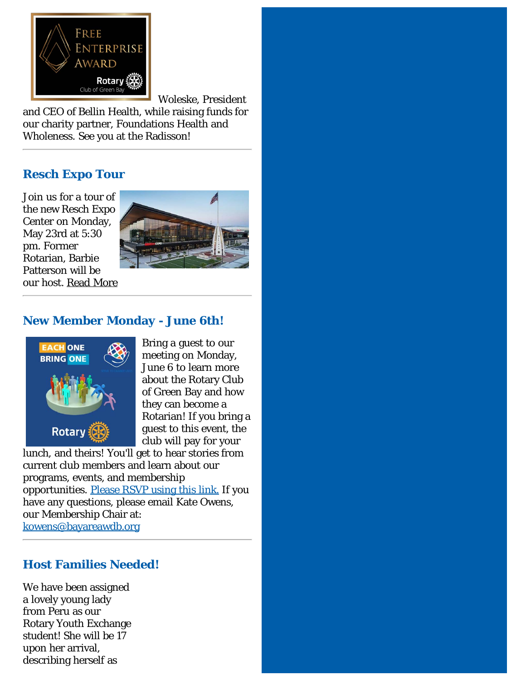

Woleske, President

and CEO of Bellin Health, while raising funds for our charity partner, Foundations Health and Wholeness. See you at the Radisson!

## **Resch Expo Tour**

Join us for a tour of the new Resch Expo Center on Monday, May 23rd at 5:30 pm. Former Rotarian, Barbie Patterson will be our host. [Read More](https://ismyrotaryclub.com/story/ezBulletinMore.cfm?StoryID=169852)



#### **New Member Monday - June 6th!**



Bring a guest to our meeting on Monday, June 6 to learn more about the Rotary Club of Green Bay and how they can become a Rotarian! If you bring a guest to this event, the club will pay for your

lunch, and theirs! You'll get to hear stories from current club members and learn about our programs, events, and membership opportunities. [Please RSVP using this link.](https://forms.gle/Z4G3yjo491xq1E2i7) If you have any questions, please email Kate Owens, our Membership Chair at: [kowens@bayareawdb.org](mailto:kowens@bayareawdb.org?subject=New%20Member%20Monday)

#### **Host Families Needed!**

We have been assigned a lovely young lady from Peru as our Rotary Youth Exchange student! She will be 17 upon her arrival, describing herself as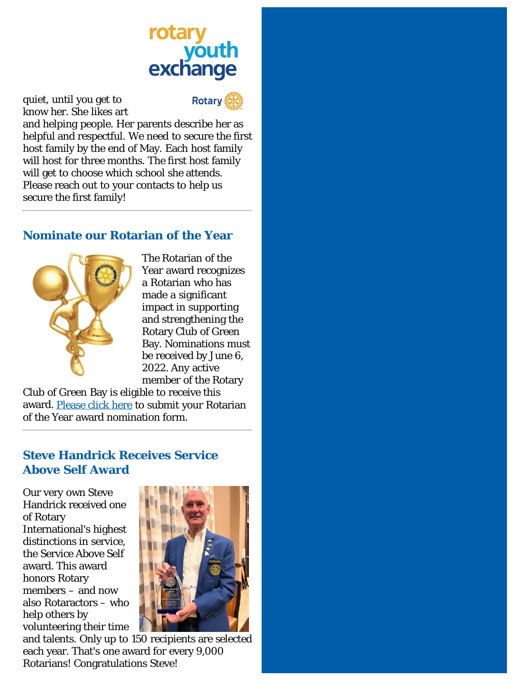# youth<br>exchange

quiet, until you get to know her. She likes art



and helping people. Her parents describe her as helpful and respectful. We need to secure the first host family by the end of May. Each host family will host for three months. The first host family will get to choose which school she attends. Please reach out to your contacts to help us secure the first family!

## **Nominate our Rotarian of the Year**



The Rotarian of the Year award recognizes a Rotarian who has made a significant impact in supporting and strengthening the Rotary Club of Green Bay. Nominations must be received by June 6, 2022. Any active member of the Rotary

Club of Green Bay is eligible to receive this award. [Please click here](https://greenbayrotary.org/rotarian-of-the-year/) to submit your Rotarian of the Year award nomination form.

# **Steve Handrick Receives Service Above Self Award**

Our very own Steve Handrick received one of Rotary International's highest distinctions in service, the Service Above Self award. This award honors Rotary members – and now also Rotaractors – who help others by volunteering their time



and talents. Only up to 150 recipients are selected each year. That's one award for every 9,000 Rotarians! Congratulations Steve!